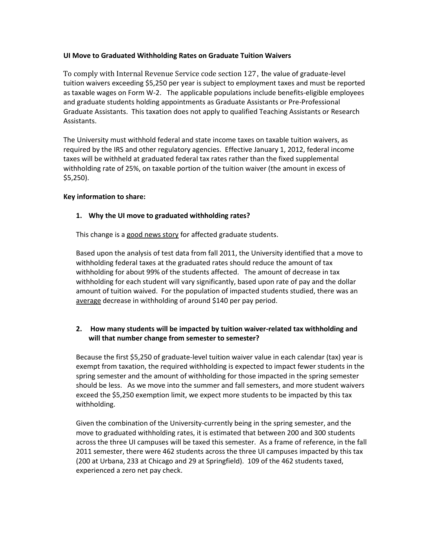#### **UI Move to Graduated Withholding Rates on Graduate Tuition Waivers**

To comply with Internal Revenue Service code section 127, the value of graduate-level tuition waivers exceeding \$5,250 per year is subject to employment taxes and must be reported as taxable wages on Form W-2. The applicable populations include benefits-eligible employees and graduate students holding appointments as Graduate Assistants or Pre-Professional Graduate Assistants. This taxation does not apply to qualified Teaching Assistants or Research Assistants.

The University must withhold federal and state income taxes on taxable tuition waivers, as required by the IRS and other regulatory agencies. Effective January 1, 2012, federal income taxes will be withheld at graduated federal tax rates rather than the fixed supplemental withholding rate of 25%, on taxable portion of the tuition waiver (the amount in excess of \$5,250).

#### **Key information to share:**

#### **1. Why the UI move to graduated withholding rates?**

This change is a good news story for affected graduate students.

Based upon the analysis of test data from fall 2011, the University identified that a move to withholding federal taxes at the graduated rates should reduce the amount of tax withholding for about 99% of the students affected. The amount of decrease in tax withholding for each student will vary significantly, based upon rate of pay and the dollar amount of tuition waived. For the population of impacted students studied, there was an average decrease in withholding of around \$140 per pay period.

# **2. How many students will be impacted by tuition waiver-related tax withholding and will that number change from semester to semester?**

Because the first \$5,250 of graduate-level tuition waiver value in each calendar (tax) year is exempt from taxation, the required withholding is expected to impact fewer students in the spring semester and the amount of withholding for those impacted in the spring semester should be less. As we move into the summer and fall semesters, and more student waivers exceed the \$5,250 exemption limit, we expect more students to be impacted by this tax withholding.

Given the combination of the University-currently being in the spring semester, and the move to graduated withholding rates, it is estimated that between 200 and 300 students across the three UI campuses will be taxed this semester. As a frame of reference, in the fall 2011 semester, there were 462 students across the three UI campuses impacted by this tax (200 at Urbana, 233 at Chicago and 29 at Springfield). 109 of the 462 students taxed, experienced a zero net pay check.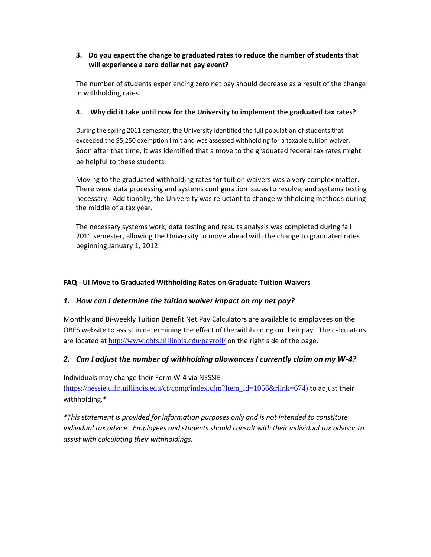# **3. Do you expect the change to graduated rates to reduce the number of students that will experience a zero dollar net pay event?**

The number of students experiencing zero net pay should decrease as a result of the change in withholding rates.

### **4. Why did it take until now for the University to implement the graduated tax rates?**

During the spring 2011 semester, the University identified the full population of students that exceeded the \$5,250 exemption limit and was assessed withholding for a taxable tuition waiver. Soon after that time, it was identified that a move to the graduated federal tax rates might be helpful to these students.

Moving to the graduated withholding rates for tuition waivers was a very complex matter. There were data processing and systems configuration issues to resolve, and systems testing necessary. Additionally, the University was reluctant to change withholding methods during the middle of a tax year.

The necessary systems work, data testing and results analysis was completed during fall 2011 semester, allowing the University to move ahead with the change to graduated rates beginning January 1, 2012.

# **FAQ - UI Move to Graduated Withholding Rates on Graduate Tuition Waivers**

# *1. How can I determine the tuition waiver impact on my net pay?*

Monthly and Bi-weekly Tuition Benefit Net Pay Calculators are available to employees on the OBFS website to assist in determining the effect of the withholding on their pay. The calculators are located at <http://www.obfs.uillinois.edu/payroll/> on the right side of the page.

# *2. Can I adjust the number of withholding allowances I currently claim on my W-4?*

Individuals may change their Form W-4 via NESSIE

([https://nessie.uihr.uillinois.edu/cf/comp/index.cfm?Item\\_id=1056&rlink=674](https://nessie.uihr.uillinois.edu/cf/comp/index.cfm?Item_id=1056&rlink=674)) to adjust their withholding.\*

*\*This statement is provided for information purposes only and is not intended to constitute individual tax advice. Employees and students should consult with their individual tax advisor to assist with calculating their withholdings.*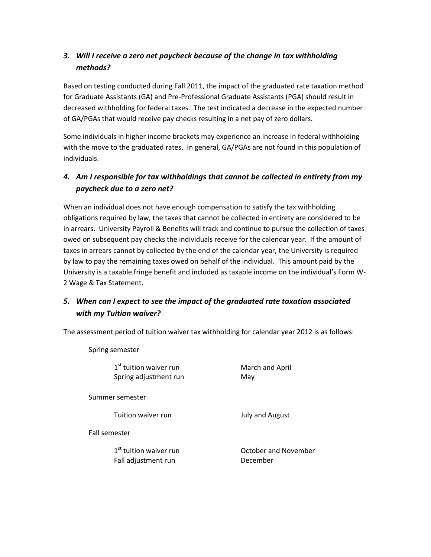# *3. Will I receive a zero net paycheck because of the change in tax withholding methods?*

Based on testing conducted during Fall 2011, the impact of the graduated rate taxation method for Graduate Assistants (GA) and Pre-Professional Graduate Assistants (PGA) should result in decreased withholding for federal taxes. The test indicated a decrease in the expected number of GA/PGAs that would receive pay checks resulting in a net pay of zero dollars.

Some individuals in higher income brackets may experience an increase in federal withholding with the move to the graduated rates. In general, GA/PGAs are not found in this population of individuals.

# *4. Am I responsible for tax withholdings that cannot be collected in entirety from my paycheck due to a zero net?*

When an individual does not have enough compensation to satisfy the tax withholding obligations required by law, the taxes that cannot be collected in entirety are considered to be in arrears. University Payroll & Benefits will track and continue to pursue the collection of taxes owed on subsequent pay checks the individuals receive for the calendar year. If the amount of taxes in arrears cannot by collected by the end of the calendar year, the University is required by law to pay the remaining taxes owed on behalf of the individual. This amount paid by the University is a taxable fringe benefit and included as taxable income on the individual's Form W-2 Wage & Tax Statement.

# *5. When can I expect to see the impact of the graduated rate taxation associated with my Tuition waiver?*

The assessment period of tuition waiver tax withholding for calendar year 2012 is as follows:

| Spring semester |                                                             |                                  |
|-----------------|-------------------------------------------------------------|----------------------------------|
|                 | 1 <sup>st</sup> tuition waiver run<br>Spring adjustment run | March and April<br>May           |
| Summer semester |                                                             |                                  |
|                 | Tuition waiver run                                          | July and August                  |
| Fall semester   |                                                             |                                  |
|                 | 1 <sup>st</sup> tuition waiver run<br>Fall adjustment run   | October and November<br>December |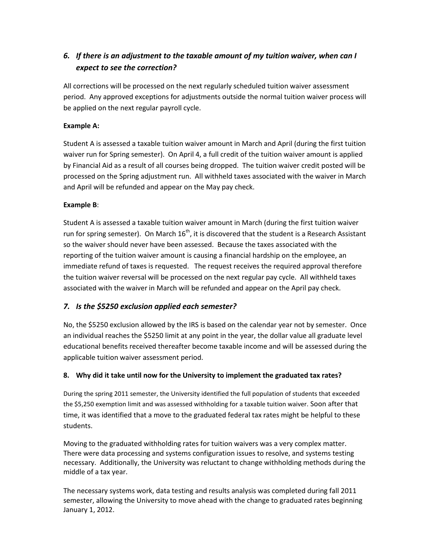# *6. If there is an adjustment to the taxable amount of my tuition waiver, when can I expect to see the correction?*

All corrections will be processed on the next regularly scheduled tuition waiver assessment period. Any approved exceptions for adjustments outside the normal tuition waiver process will be applied on the next regular payroll cycle.

# **Example A:**

Student A is assessed a taxable tuition waiver amount in March and April (during the first tuition waiver run for Spring semester). On April 4, a full credit of the tuition waiver amount is applied by Financial Aid as a result of all courses being dropped. The tuition waiver credit posted will be processed on the Spring adjustment run. All withheld taxes associated with the waiver in March and April will be refunded and appear on the May pay check.

#### **Example B**:

Student A is assessed a taxable tuition waiver amount in March (during the first tuition waiver run for spring semester). On March  $16<sup>th</sup>$ , it is discovered that the student is a Research Assistant so the waiver should never have been assessed. Because the taxes associated with the reporting of the tuition waiver amount is causing a financial hardship on the employee, an immediate refund of taxes is requested. The request receives the required approval therefore the tuition waiver reversal will be processed on the next regular pay cycle. All withheld taxes associated with the waiver in March will be refunded and appear on the April pay check.

# *7. Is the \$5250 exclusion applied each semester?*

No, the \$5250 exclusion allowed by the IRS is based on the calendar year not by semester. Once an individual reaches the \$5250 limit at any point in the year, the dollar value all graduate level educational benefits received thereafter become taxable income and will be assessed during the applicable tuition waiver assessment period.

# **8. Why did it take until now for the University to implement the graduated tax rates?**

During the spring 2011 semester, the University identified the full population of students that exceeded the \$5,250 exemption limit and was assessed withholding for a taxable tuition waiver. Soon after that time, it was identified that a move to the graduated federal tax rates might be helpful to these students.

Moving to the graduated withholding rates for tuition waivers was a very complex matter. There were data processing and systems configuration issues to resolve, and systems testing necessary. Additionally, the University was reluctant to change withholding methods during the middle of a tax year.

The necessary systems work, data testing and results analysis was completed during fall 2011 semester, allowing the University to move ahead with the change to graduated rates beginning January 1, 2012.